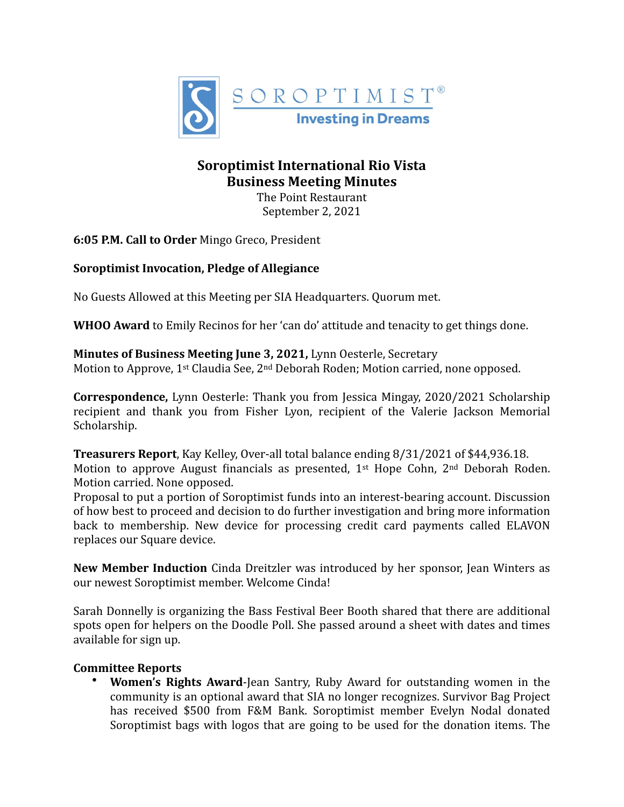

## **Soroptimist International Rio Vista Business Meeting Minutes**

The Point Restaurant September 2, 2021

**6:05 P.M. Call to Order** Mingo Greco, President

## **Soroptimist Invocation, Pledge of Allegiance**

No Guests Allowed at this Meeting per SIA Headquarters. Quorum met.

**WHOO Award** to Emily Recinos for her 'can do' attitude and tenacity to get things done.

**Minutes of Business Meeting June 3, 2021, Lynn Oesterle, Secretary** Motion to Approve, 1<sup>st</sup> Claudia See, 2<sup>nd</sup> Deborah Roden; Motion carried, none opposed.

**Correspondence,** Lynn Oesterle: Thank you from Jessica Mingay, 2020/2021 Scholarship recipient and thank you from Fisher Lyon, recipient of the Valerie Jackson Memorial Scholarship.

**Treasurers Report**, Kay Kelley, Over-all total balance ending 8/31/2021 of \$44,936.18. Motion to approve August financials as presented,  $1^{st}$  Hope Cohn,  $2^{nd}$  Deborah Roden. Motion carried. None opposed.

Proposal to put a portion of Soroptimist funds into an interest-bearing account. Discussion of how best to proceed and decision to do further investigation and bring more information back to membership. New device for processing credit card payments called ELAVON replaces our Square device.

**New Member Induction** Cinda Dreitzler was introduced by her sponsor, Jean Winters as our newest Soroptimist member. Welcome Cinda!

Sarah Donnelly is organizing the Bass Festival Beer Booth shared that there are additional spots open for helpers on the Doodle Poll. She passed around a sheet with dates and times available for sign up.

## **Committee Reports**

• **Women's Rights Award**-Jean Santry, Ruby Award for outstanding women in the community is an optional award that SIA no longer recognizes. Survivor Bag Project has received \$500 from F&M Bank. Soroptimist member Evelyn Nodal donated Soroptimist bags with logos that are going to be used for the donation items. The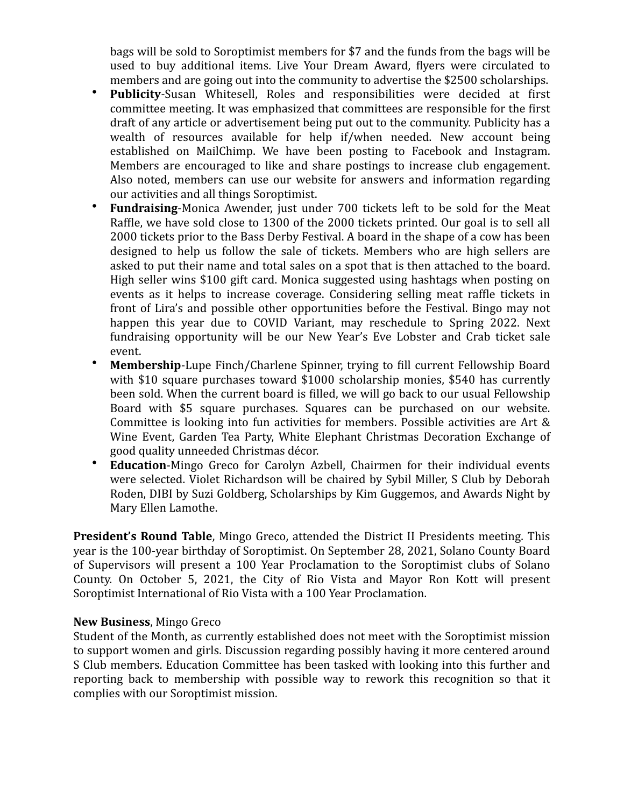bags will be sold to Soroptimist members for \$7 and the funds from the bags will be used to buy additional items. Live Your Dream Award, flyers were circulated to members and are going out into the community to advertise the \$2500 scholarships.

- **Publicity-Susan Whitesell, Roles and responsibilities were decided at first** committee meeting. It was emphasized that committees are responsible for the first draft of any article or advertisement being put out to the community. Publicity has a wealth of resources available for help  $if/when$  needed. New account being established on MailChimp. We have been posting to Facebook and Instagram. Members are encouraged to like and share postings to increase club engagement. Also noted, members can use our website for answers and information regarding our activities and all things Soroptimist.
- **Fundraising-Monica Awender, just under 700 tickets left to be sold for the Meat** Raffle, we have sold close to 1300 of the 2000 tickets printed. Our goal is to sell all 2000 tickets prior to the Bass Derby Festival. A board in the shape of a cow has been designed to help us follow the sale of tickets. Members who are high sellers are asked to put their name and total sales on a spot that is then attached to the board. High seller wins \$100 gift card. Monica suggested using hashtags when posting on events as it helps to increase coverage. Considering selling meat raffle tickets in front of Lira's and possible other opportunities before the Festival. Bingo may not happen this year due to COVID Variant, may reschedule to Spring 2022. Next fundraising opportunity will be our New Year's Eve Lobster and Crab ticket sale event.
- **Membership**-Lupe Finch/Charlene Spinner, trying to fill current Fellowship Board with \$10 square purchases toward \$1000 scholarship monies, \$540 has currently been sold. When the current board is filled, we will go back to our usual Fellowship Board with \$5 square purchases. Squares can be purchased on our website. Committee is looking into fun activities for members. Possible activities are Art  $\&$ Wine Event, Garden Tea Party, White Elephant Christmas Decoration Exchange of good quality unneeded Christmas décor.
- **Education-Mingo Greco for Carolyn Azbell, Chairmen for their individual events** were selected. Violet Richardson will be chaired by Sybil Miller, S Club by Deborah Roden, DIBI by Suzi Goldberg, Scholarships by Kim Guggemos, and Awards Night by Mary Ellen Lamothe.

**President's Round Table**, Mingo Greco, attended the District II Presidents meeting. This year is the 100-year birthday of Soroptimist. On September 28, 2021, Solano County Board of Supervisors will present a 100 Year Proclamation to the Soroptimist clubs of Solano County. On October 5, 2021, the City of Rio Vista and Mayor Ron Kott will present Soroptimist International of Rio Vista with a 100 Year Proclamation.

## **New Business**, Mingo Greco

Student of the Month, as currently established does not meet with the Soroptimist mission to support women and girls. Discussion regarding possibly having it more centered around S Club members. Education Committee has been tasked with looking into this further and reporting back to membership with possible way to rework this recognition so that it complies with our Soroptimist mission.